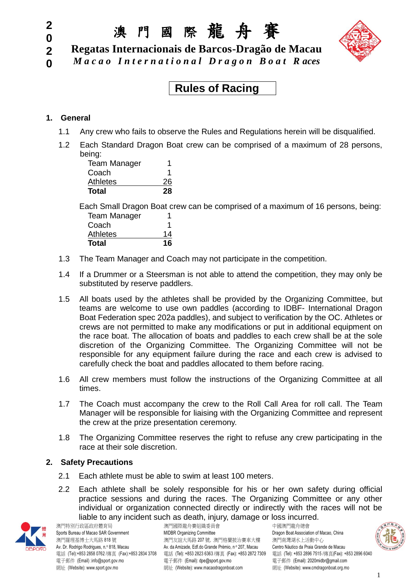#### **2 0**

**0**

澳 門 國 際 龍 舟 賽

*M a c a o I n t e r n a t i o n a l D r a g o n B o a t R aces*

**2 Regatas Internacionais de Barcos-Dragão de Macau**

### **Rules of Racing**

#### **1. General**

- 1.1 Any crew who fails to observe the Rules and Regulations herein will be disqualified.
- 1.2 Each Standard Dragon Boat crew can be comprised of a maximum of 28 persons, being:

| <b>Team Manager</b> | 1  |
|---------------------|----|
| Coach               |    |
| <b>Athletes</b>     | 26 |
| Total               | 28 |

Each Small Dragon Boat crew can be comprised of a maximum of 16 persons, being: Team Manager 1

| 14 |
|----|
| 16 |
|    |

- 1.3 The Team Manager and Coach may not participate in the competition.
- 1.4 If a Drummer or a Steersman is not able to attend the competition, they may only be substituted by reserve paddlers.
- 1.5 All boats used by the athletes shall be provided by the Organizing Committee, but teams are welcome to use own paddles (according to IDBF- International Dragon Boat Federation spec 202a paddles), and subject to verification by the OC. Athletes or crews are not permitted to make any modifications or put in additional equipment on the race boat. The allocation of boats and paddles to each crew shall be at the sole discretion of the Organizing Committee. The Organizing Committee will not be responsible for any equipment failure during the race and each crew is advised to carefully check the boat and paddles allocated to them before racing.
- 1.6 All crew members must follow the instructions of the Organizing Committee at all times.
- 1.7 The Coach must accompany the crew to the Roll Call Area for roll call. The Team Manager will be responsible for liaising with the Organizing Committee and represent the crew at the prize presentation ceremony.
- 1.8 The Organizing Committee reserves the right to refuse any crew participating in the race at their sole discretion.

#### **2. Safety Precautions**

- 2.1 Each athlete must be able to swim at least 100 meters.
- 2.2 Each athlete shall be solely responsible for his or her own safety during official practice sessions and during the races. The Organizing Committee or any other individual or organization connected directly or indirectly with the races will not be liable to any incident such as death, injury, damage or loss incurred.



澳門特別行政區政府體育局<br>Sports Bureau of Macao SAR Government MIDBR Organizing Committee Dragon Boat Associati 網址 (Website): www.sport.gov.mo <br>網址 (Website): www.sport.gov.mo

Sports Bureau of Macao SAR Government MIDBR Organizing Committee Dragon Boat Association of Macao. China 澳門羅理基博士大馬路 818 號 アンチャンチャン うちん いちん かいかん アップ かんこう アイト 演門南灣湖水上活動中心 Av. Dr. Rodrigo Rodrigues, n.º 818, Macau <br>Av. da Amizade, Edf.do Grande Prémio, nº 207, Macau Centro Náutico da Praia Grande de Macau 電話 (Tel):+853 2858 0762 /傳真 (Fax):+853 2834 3708 電話 (Tel): +853 2823 6363 /傳真 (Fax): +853 2872 7309 電話 (Tel): +853 2896 7515 /傳真(Fax): +853 2896 6040 電子郵件 (Email) :info@sport.gov.mo 電子郵件 (Email): dpe@sport.gov.mo 電子郵件 (Email): 2020midbr@gmail.com<br>網址 (Website): www.sport.gov.mo 網址 (Website): www.macaodragonboat.com 網址 (Website): www.cmdra

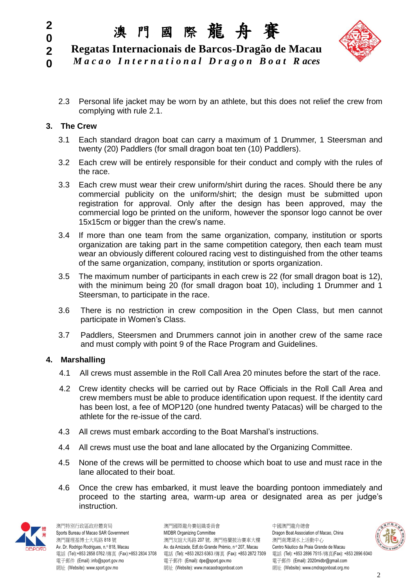### 澳 門 國 際 龍 舟 賽



**2 Regatas Internacionais de Barcos-Dragão de Macau**

**0** *M a c a o I n t e r n a t i o n a l D r a g o n B o a t R aces*

2.3 Personal life jacket may be worn by an athlete, but this does not relief the crew from complying with rule 2.1.

#### **3. The Crew**

**2 0**

- 3.1 Each standard dragon boat can carry a maximum of 1 Drummer, 1 Steersman and twenty (20) Paddlers (for small dragon boat ten (10) Paddlers).
- 3.2 Each crew will be entirely responsible for their conduct and comply with the rules of the race.
- 3.3 Each crew must wear their crew uniform/shirt during the races. Should there be any commercial publicity on the uniform/shirt; the design must be submitted upon registration for approval. Only after the design has been approved, may the commercial logo be printed on the uniform, however the sponsor logo cannot be over 15x15cm or bigger than the crew's name.
- 3.4 If more than one team from the same organization, company, institution or sports organization are taking part in the same competition category, then each team must wear an obviously different coloured racing vest to distinguished from the other teams of the same organization, company, institution or sports organization.
- 3.5 The maximum number of participants in each crew is 22 (for small dragon boat is 12), with the minimum being 20 (for small dragon boat 10), including 1 Drummer and 1 Steersman, to participate in the race.
- 3.6 There is no restriction in crew composition in the Open Class, but men cannot participate in Women's Class.
- 3.7 Paddlers, Steersmen and Drummers cannot join in another crew of the same race and must comply with point 9 of the Race Program and Guidelines.

#### **4. Marshalling**

- 4.1 All crews must assemble in the Roll Call Area 20 minutes before the start of the race.
- 4.2 Crew identity checks will be carried out by Race Officials in the Roll Call Area and crew members must be able to produce identification upon request. If the identity card has been lost, a fee of MOP120 (one hundred twenty Patacas) will be charged to the athlete for the re-issue of the card.
- 4.3 All crews must embark according to the Boat Marshal's instructions.
- 4.4 All crews must use the boat and lane allocated by the Organizing Committee.
- 4.5 None of the crews will be permitted to choose which boat to use and must race in the lane allocated to their boat.
- 4.6 Once the crew has embarked, it must leave the boarding pontoon immediately and proceed to the starting area, warm-up area or designated area as per judge's instruction.



澳門特別行政區政府體育局 澳門國際龍舟賽組織委員會 中國澳門龍舟總會

Sports Bureau of Macao SAR Government MIDBR Organizing Committee Committee Dragon Boat Association of Macao, China 澳門羅理基博士大馬路 818 號 アンチャンチャン うちん いちん かいかん アップ かんこう アイト 演門南灣湖水上活動中心 Av. Dr. Rodrigo Rodrigues, n.º 818, Macau <br>Av. da Amizade, Edf.do Grande Prémio, nº 207, Macau Centro Náutico da Praia Grande de Macau 電話 (Tel):+853 2858 0762 /傳真 (Fax):+853 2834 3708 電話 (Tel): +853 2823 6363 /傳真 (Fax): +853 2872 7309 電話 (Tel): +853 2896 7515 /傳真(Fax): +853 2896 6040 電子郵件 (Email) :info@sport.gov.mo 電子郵件 (Email): dpe@sport.gov.mo 電子郵件 (Email): 2020midbr@gmail.com 網址 (Website): www.sport.gov.mo 網址 (Website): www.macaodragonboat.com 網址 (Website): www.cmdragonboat.org.mo

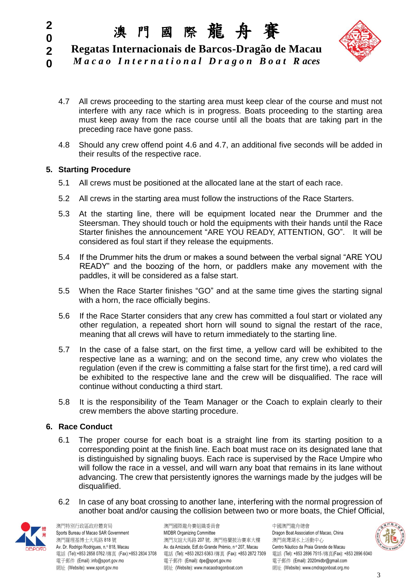# 澳 門 國 際 龍 舟 賽



**2 Regatas Internacionais de Barcos-Dragão de Macau**

- **0** *M a c a o I n t e r n a t i o n a l D r a g o n B o a t R aces*
	- 4.7 All crews proceeding to the starting area must keep clear of the course and must not interfere with any race which is in progress. Boats proceeding to the starting area must keep away from the race course until all the boats that are taking part in the preceding race have gone pass.
	- 4.8 Should any crew offend point 4.6 and 4.7, an additional five seconds will be added in their results of the respective race.

#### **5. Starting Procedure**

**2 0**

- 5.1 All crews must be positioned at the allocated lane at the start of each race.
- 5.2 All crews in the starting area must follow the instructions of the Race Starters.
- 5.3 At the starting line, there will be equipment located near the Drummer and the Steersman. They should touch or hold the equipments with their hands until the Race Starter finishes the announcement "ARE YOU READY, ATTENTION, GO". It will be considered as foul start if they release the equipments.
- 5.4 If the Drummer hits the drum or makes a sound between the verbal signal "ARE YOU READY" and the boozing of the horn, or paddlers make any movement with the paddles, it will be considered as a false start.
- 5.5 When the Race Starter finishes "GO" and at the same time gives the starting signal with a horn, the race officially begins.
- 5.6 If the Race Starter considers that any crew has committed a foul start or violated any other regulation, a repeated short horn will sound to signal the restart of the race, meaning that all crews will have to return immediately to the starting line.
- 5.7 In the case of a false start, on the first time, a yellow card will be exhibited to the respective lane as a warning; and on the second time, any crew who violates the regulation (even if the crew is committing a false start for the first time), a red card will be exhibited to the respective lane and the crew will be disqualified. The race will continue without conducting a third start.
- 5.8 It is the responsibility of the Team Manager or the Coach to explain clearly to their crew members the above starting procedure.

#### **6. Race Conduct**

- 6.1 The proper course for each boat is a straight line from its starting position to a corresponding point at the finish line. Each boat must race on its designated lane that is distinguished by signaling buoys. Each race is supervised by the Race Umpire who will follow the race in a vessel, and will warn any boat that remains in its lane without advancing. The crew that persistently ignores the warnings made by the judges will be disqualified.
- 6.2 In case of any boat crossing to another lane, interfering with the normal progression of another boat and/or causing the collision between two or more boats, the Chief Official,



澳門特別行政區政府體育局 澳門國際龍舟賽組織委員會 中國澳門龍舟總會 網址 (Website): www.sport.gov.mo <br>網址 (Website): www.sport.gov.mo

Sports Bureau of Macao SAR Government MIDBR Organizing Committee Committee Dragon Boat Association of Macao, China 澳門羅理基博士大馬路 818 號 アンチャンチャン アンダンス アメリカ アメリカ アンダル アンダン アンダン アンダン アンダル うまいち 海門南灣湖水上活動中心 Av. Dr. Rodrigo Rodrigues, n.º 818, Macau <br>Av. da Amizade, Edf.do Grande Prémio, nº 207, Macau Centro Náutico da Praia Grande de Macau 電話 (Tel):+853 2858 0762 /傳真 (Fax):+853 2834 3708 電話 (Tel): +853 2823 6363 /傳真 (Fax): +853 2872 7309 電話 (Tel): +853 2896 7515 /傳真(Fax): +853 2896 6040 電子郵件 (Email) :info@sport.gov.mo 電子郵件 (Email): dpe@sport.gov.mo 電子郵件 (Email): 2020midbr@gmail.com<br>網址 (Website): www.sport.gov.mo 網址 (Website): www.macaodragonboat.com 網址 (Website): www.cmdra

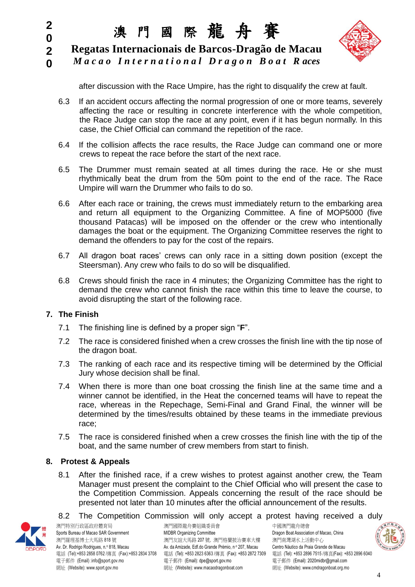#### **2 0**

澳 門 國 際 龍 舟 賽

**2 Regatas Internacionais de Barcos-Dragão de Macau**





after discussion with the Race Umpire, has the right to disqualify the crew at fault.

- 6.3 If an accident occurs affecting the normal progression of one or more teams, severely affecting the race or resulting in concrete interference with the whole competition, the Race Judge can stop the race at any point, even if it has begun normally. In this case, the Chief Official can command the repetition of the race.
- 6.4 If the collision affects the race results, the Race Judge can command one or more crews to repeat the race before the start of the next race.
- 6.5 The Drummer must remain seated at all times during the race. He or she must rhythmically beat the drum from the 50m point to the end of the race. The Race Umpire will warn the Drummer who fails to do so.
- 6.6 After each race or training, the crews must immediately return to the embarking area and return all equipment to the Organizing Committee. A fine of MOP5000 (five thousand Patacas) will be imposed on the offender or the crew who intentionally damages the boat or the equipment. The Organizing Committee reserves the right to demand the offenders to pay for the cost of the repairs.
- 6.7 All dragon boat races' crews can only race in a sitting down position (except the Steersman). Any crew who fails to do so will be disqualified.
- 6.8 Crews should finish the race in 4 minutes; the Organizing Committee has the right to demand the crew who cannot finish the race within this time to leave the course, to avoid disrupting the start of the following race.

#### **7. The Finish**

- 7.1 The finishing line is defined by a proper sign "**F**".
- 7.2 The race is considered finished when a crew crosses the finish line with the tip nose of the dragon boat.
- 7.3 The ranking of each race and its respective timing will be determined by the Official Jury whose decision shall be final.
- 7.4 When there is more than one boat crossing the finish line at the same time and a winner cannot be identified, in the Heat the concerned teams will have to repeat the race, whereas in the Repechage, Semi-Final and Grand Final, the winner will be determined by the times/results obtained by these teams in the immediate previous race;
- 7.5 The race is considered finished when a crew crosses the finish line with the tip of the boat, and the same number of crew members from start to finish.

#### **8. Protest & Appeals**

8.1 After the finished race, if a crew wishes to protest against another crew, the Team Manager must present the complaint to the Chief Official who will present the case to the Competition Commission. Appeals concerning the result of the race should be presented not later than 10 minutes after the official announcement of the results.

#### 8.2 The Competition Commission will only accept a protest having received a duly



澳門特別行政區政府體育局 澳門國際龍舟賽組織委員會 中國澳門龍舟總會 Sports Bureau of Macao SAR Government **MIDBR** Organizing Committee **Dragon Boat Association of Macao**, China 澳門羅理基博士大馬路 818 號 アンチャンチャン アンダンス アメリカ アメリカ アンダル アンダン アンダン アンダン アンダル うまいち 海門南灣湖水上活動中心 Av. Dr. Rodrigo Rodrigues, n.º 818, Macau <br>Av. da Amizade, Edf.do Grande Prémio, nº 207, Macau Centro Náutico da Praia Grande de Macau 電話 (Tel):+853 2858 0762 /傳真 (Fax):+853 2834 3708 電話 (Tel): +853 2823 6363 /傳真 (Fax): +853 2872 7309 電話 (Tel): +853 2896 7515 /傳真(Fax): +853 2896 6040 電子郵件 (Email) :info@sport.gov.mo 電子郵件 (Email): dpe@sport.gov.mo 電子郵件 (Email): 2020midbr@gmail.com 網址 (Website): www.sport.gov.mo 網址 (Website): www.macaodragonboat.com 網址 (Website): www.cmdragonboat.org.mo

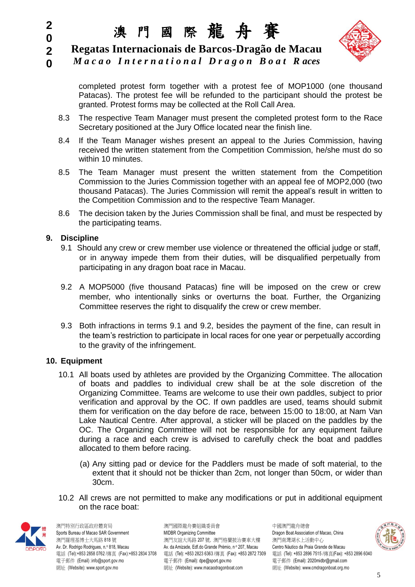# 澳 門 國 際 龍 舟 賽



**2 Regatas Internacionais de Barcos-Dragão de Macau**

**0** *M a c a o I n t e r n a t i o n a l D r a g o n B o a t R aces*

> completed protest form together with a protest fee of MOP1000 (one thousand Patacas). The protest fee will be refunded to the participant should the protest be granted. Protest forms may be collected at the Roll Call Area.

- 8.3 The respective Team Manager must present the completed protest form to the Race Secretary positioned at the Jury Office located near the finish line.
- 8.4 If the Team Manager wishes present an appeal to the Juries Commission, having received the written statement from the Competition Commission, he/she must do so within 10 minutes.
- 8.5 The Team Manager must present the written statement from the Competition Commission to the Juries Commission together with an appeal fee of MOP2,000 (two thousand Patacas). The Juries Commission will remit the appeal's result in written to the Competition Commission and to the respective Team Manager.
- 8.6 The decision taken by the Juries Commission shall be final, and must be respected by the participating teams.

#### **9. Discipline**

**2 0**

- 9.1 Should any crew or crew member use violence or threatened the official judge or staff, or in anyway impede them from their duties, will be disqualified perpetually from participating in any dragon boat race in Macau.
- 9.2 A MOP5000 (five thousand Patacas) fine will be imposed on the crew or crew member, who intentionally sinks or overturns the boat. Further, the Organizing Committee reserves the right to disqualify the crew or crew member.
- 9.3 Both infractions in terms 9.1 and 9.2, besides the payment of the fine, can result in the team's restriction to participate in local races for one year or perpetually according to the gravity of the infringement.

#### **10. Equipment**

- 10.1 All boats used by athletes are provided by the Organizing Committee. The allocation of boats and paddles to individual crew shall be at the sole discretion of the Organizing Committee. Teams are welcome to use their own paddles, subject to prior verification and approval by the OC. If own paddles are used, teams should submit them for verification on the day before de race, between 15:00 to 18:00, at Nam Van Lake Nautical Centre. After approval, a sticker will be placed on the paddles by the OC. The Organizing Committee will not be responsible for any equipment failure during a race and each crew is advised to carefully check the boat and paddles allocated to them before racing.
	- (a) Any sitting pad or device for the Paddlers must be made of soft material, to the extent that it should not be thicker than 2cm, not longer than 50cm, or wider than 30cm.
- 10.2 All crews are not permitted to make any modifications or put in additional equipment on the race boat:



澳門特別行政區政府體育局 澳門國際龍舟賽組織委員會 中國澳門龍舟總會

Sports Bureau of Macao SAR Government **MIDBR Organizing Committee** Committee Dragon Boat Association of Macao, China 澳門羅理基博士大馬路 818 號 アンチャンチャン アンダンス アメリカ アメリカ アンダル アンダン アンダン アンダン アンダル うまいち 海門南灣湖水上活動中心 Av. Dr. Rodrigo Rodrigues, n.º 818, Macau Av. da Amizade, Edf.do Grande Prémio, nº 207, Macau Centro Náutico da Praia Grande de Macau 電話 (Tel):+853 2858 0762 /傳真 (Fax):+853 2834 3708 電話 (Tel): +853 2823 6363 /傳真 (Fax): +853 2872 7309 電話 (Tel): +853 2896 7515 /傳真(Fax): +853 2896 6040 電子郵件 (Email) :info@sport.gov.mo 電子郵件 (Email): dpe@sport.gov.mo 電子郵件 (Email): 2020midbr@gmail.com 網址 (Website): www.sport.gov.mo 網址 (Website): www.macaodragonboat.com 網址 (Website): www.cmdragonboat.org.mo